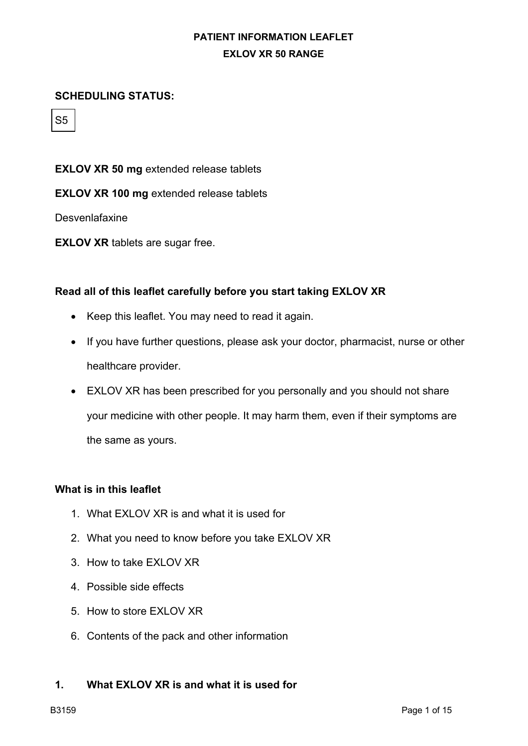#### **SCHEDULING STATUS:**

S5

**EXLOV XR 50 mg** extended release tablets

**EXLOV XR 100 mg** extended release tablets

**Desvenlafaxine** 

**EXLOV XR** tablets are sugar free.

#### **Read all of this leaflet carefully before you start taking EXLOV XR**

- Keep this leaflet. You may need to read it again.
- If you have further questions, please ask your doctor, pharmacist, nurse or other healthcare provider.
- EXLOV XR has been prescribed for you personally and you should not share your medicine with other people. It may harm them, even if their symptoms are the same as yours.

#### **What is in this leaflet**

- 1. What EXLOV XR is and what it is used for
- 2. What you need to know before you take EXLOV XR
- 3. How to take EXLOV XR
- 4. Possible side effects
- 5. How to store EXLOV XR
- 6. Contents of the pack and other information

#### **1. What EXLOV XR is and what it is used for**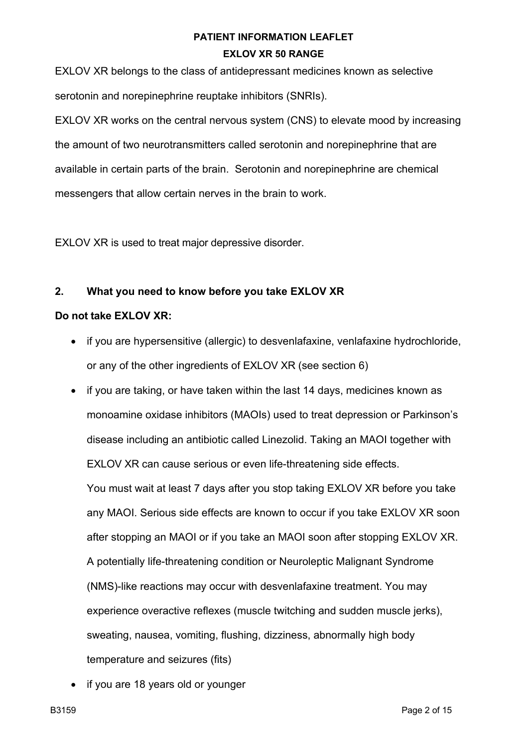EXLOV XR belongs to the class of antidepressant medicines known as selective serotonin and norepinephrine reuptake inhibitors (SNRIs).

EXLOV XR works on the central nervous system (CNS) to elevate mood by increasing the amount of two neurotransmitters called serotonin and norepinephrine that are available in certain parts of the brain. Serotonin and norepinephrine are chemical messengers that allow certain nerves in the brain to work.

EXLOV XR is used to treat major depressive disorder.

### **2. What you need to know before you take EXLOV XR**

#### **Do not take EXLOV XR:**

- if you are hypersensitive (allergic) to desvenlafaxine, venlafaxine hydrochloride, or any of the other ingredients of EXLOV XR (see section 6)
- if you are taking, or have taken within the last 14 days, medicines known as monoamine oxidase inhibitors (MAOIs) used to treat depression or Parkinson's disease including an antibiotic called Linezolid. Taking an MAOI together with EXLOV XR can cause serious or even life-threatening side effects. You must wait at least 7 days after you stop taking EXLOV XR before you take any MAOI. Serious side effects are known to occur if you take EXLOV XR soon after stopping an MAOI or if you take an MAOI soon after stopping EXLOV XR. A potentially life-threatening condition or Neuroleptic Malignant Syndrome (NMS)-like reactions may occur with desvenlafaxine treatment. You may experience overactive reflexes (muscle twitching and sudden muscle jerks), sweating, nausea, vomiting, flushing, dizziness, abnormally high body temperature and seizures (fits)
- if you are 18 years old or younger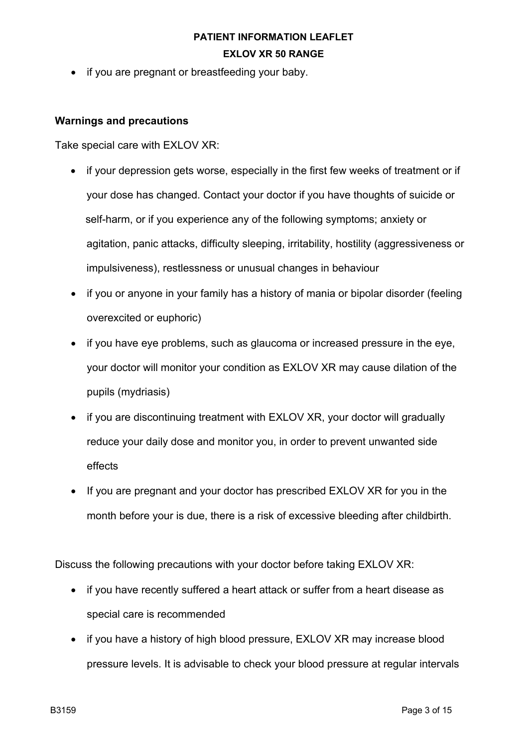• if you are pregnant or breastfeeding your baby.

#### **Warnings and precautions**

Take special care with EXLOV XR:

- if your depression gets worse, especially in the first few weeks of treatment or if your dose has changed. Contact your doctor if you have thoughts of suicide or self-harm, or if you experience any of the following symptoms; anxiety or agitation, panic attacks, difficulty sleeping, irritability, hostility (aggressiveness or impulsiveness), restlessness or unusual changes in behaviour
- if you or anyone in your family has a history of mania or bipolar disorder (feeling overexcited or euphoric)
- if you have eye problems, such as glaucoma or increased pressure in the eye, your doctor will monitor your condition as EXLOV XR may cause dilation of the pupils (mydriasis)
- if you are discontinuing treatment with EXLOV XR, your doctor will gradually reduce your daily dose and monitor you, in order to prevent unwanted side effects
- If you are pregnant and your doctor has prescribed EXLOV XR for you in the month before your is due, there is a risk of excessive bleeding after childbirth.

Discuss the following precautions with your doctor before taking EXLOV XR:

- if you have recently suffered a heart attack or suffer from a heart disease as special care is recommended
- if you have a history of high blood pressure, EXLOV XR may increase blood pressure levels. It is advisable to check your blood pressure at regular intervals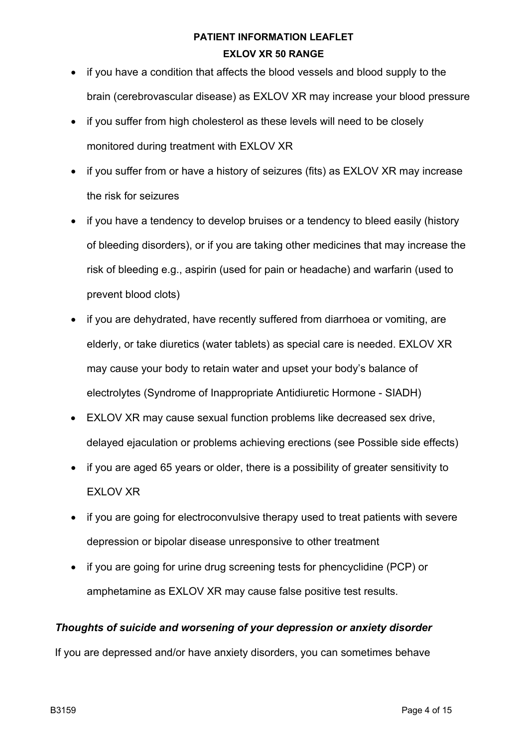- if you have a condition that affects the blood vessels and blood supply to the brain (cerebrovascular disease) as EXLOV XR may increase your blood pressure
- if you suffer from high cholesterol as these levels will need to be closely monitored during treatment with EXLOV XR
- if you suffer from or have a history of seizures (fits) as EXLOV XR may increase the risk for seizures
- if you have a tendency to develop bruises or a tendency to bleed easily (history of bleeding disorders), or if you are taking other medicines that may increase the risk of bleeding e.g., aspirin (used for pain or headache) and warfarin (used to prevent blood clots)
- if you are dehydrated, have recently suffered from diarrhoea or vomiting, are elderly, or take diuretics (water tablets) as special care is needed. EXLOV XR may cause your body to retain water and upset your body's balance of electrolytes (Syndrome of Inappropriate Antidiuretic Hormone - SIADH)
- EXLOV XR may cause sexual function problems like decreased sex drive, delayed ejaculation or problems achieving erections (see Possible side effects)
- if you are aged 65 years or older, there is a possibility of greater sensitivity to EXLOV XR
- if you are going for electroconvulsive therapy used to treat patients with severe depression or bipolar disease unresponsive to other treatment
- if you are going for urine drug screening tests for phencyclidine (PCP) or amphetamine as EXLOV XR may cause false positive test results.

### *Thoughts of suicide and worsening of your depression or anxiety disorder*

If you are depressed and/or have anxiety disorders, you can sometimes behave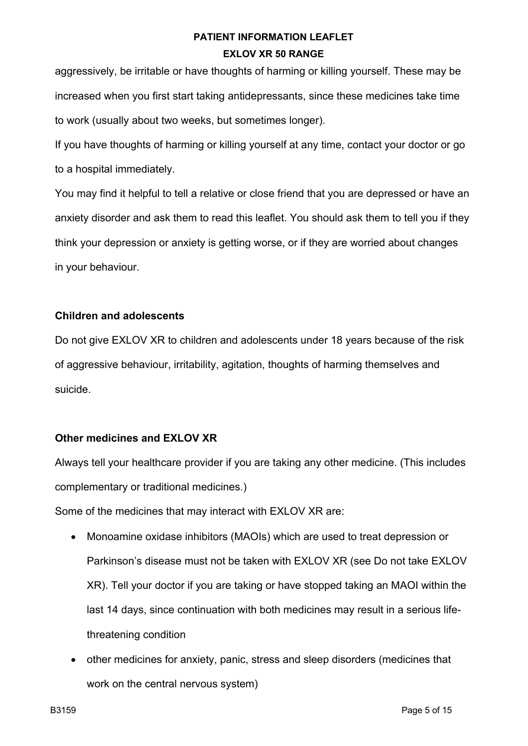aggressively, be irritable or have thoughts of harming or killing yourself. These may be increased when you first start taking antidepressants, since these medicines take time to work (usually about two weeks, but sometimes longer).

If you have thoughts of harming or killing yourself at any time, contact your doctor or go to a hospital immediately.

You may find it helpful to tell a relative or close friend that you are depressed or have an anxiety disorder and ask them to read this leaflet. You should ask them to tell you if they think your depression or anxiety is getting worse, or if they are worried about changes in your behaviour.

### **Children and adolescents**

Do not give EXLOV XR to children and adolescents under 18 years because of the risk of aggressive behaviour, irritability, agitation, thoughts of harming themselves and suicide.

### **Other medicines and EXLOV XR**

Always tell your healthcare provider if you are taking any other medicine. (This includes complementary or traditional medicines.)

Some of the medicines that may interact with EXLOV XR are:

- Monoamine oxidase inhibitors (MAOIs) which are used to treat depression or Parkinson's disease must not be taken with EXLOV XR (see Do not take EXLOV XR). Tell your doctor if you are taking or have stopped taking an MAOI within the last 14 days, since continuation with both medicines may result in a serious lifethreatening condition
- other medicines for anxiety, panic, stress and sleep disorders (medicines that work on the central nervous system)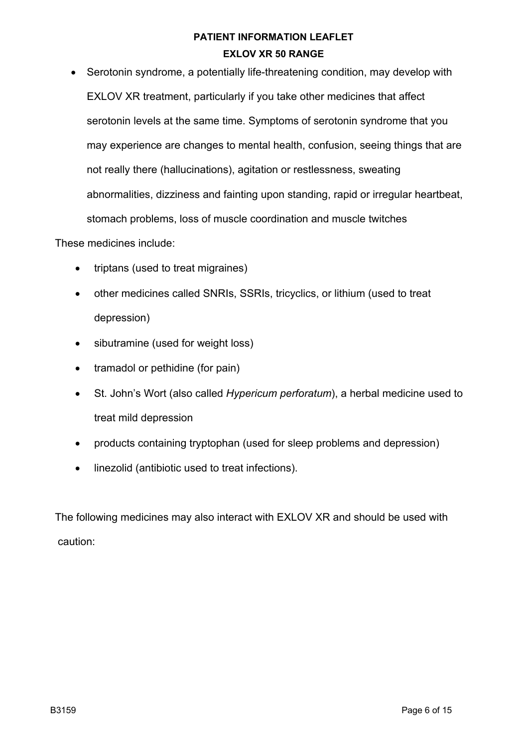• Serotonin syndrome, a potentially life-threatening condition, may develop with EXLOV XR treatment, particularly if you take other medicines that affect serotonin levels at the same time. Symptoms of serotonin syndrome that you may experience are changes to mental health, confusion, seeing things that are not really there (hallucinations), agitation or restlessness, sweating abnormalities, dizziness and fainting upon standing, rapid or irregular heartbeat, stomach problems, loss of muscle coordination and muscle twitches

These medicines include:

- triptans (used to treat migraines)
- other medicines called SNRIs, SSRIs, tricyclics, or lithium (used to treat depression)
- sibutramine (used for weight loss)
- tramadol or pethidine (for pain)
- St. John's Wort (also called *Hypericum perforatum*), a herbal medicine used to treat mild depression
- products containing tryptophan (used for sleep problems and depression)
- linezolid (antibiotic used to treat infections).

The following medicines may also interact with EXLOV XR and should be used with caution: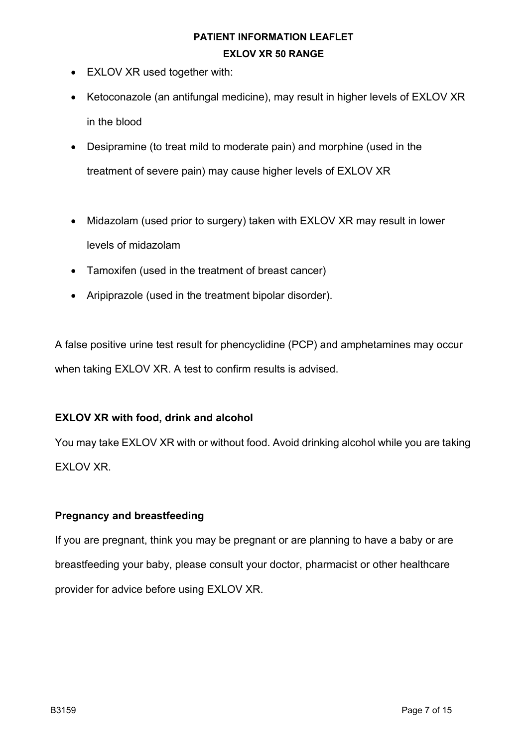- EXLOV XR used together with:
- Ketoconazole (an antifungal medicine), may result in higher levels of EXLOV XR in the blood
- Desipramine (to treat mild to moderate pain) and morphine (used in the treatment of severe pain) may cause higher levels of EXLOV XR
- Midazolam (used prior to surgery) taken with EXLOV XR may result in lower levels of midazolam
- Tamoxifen (used in the treatment of breast cancer)
- Aripiprazole (used in the treatment bipolar disorder).

A false positive urine test result for phencyclidine (PCP) and amphetamines may occur when taking EXLOV XR. A test to confirm results is advised.

### **EXLOV XR with food, drink and alcohol**

You may take EXLOV XR with or without food. Avoid drinking alcohol while you are taking EXLOV XR.

### **Pregnancy and breastfeeding**

If you are pregnant, think you may be pregnant or are planning to have a baby or are breastfeeding your baby, please consult your doctor, pharmacist or other healthcare provider for advice before using EXLOV XR.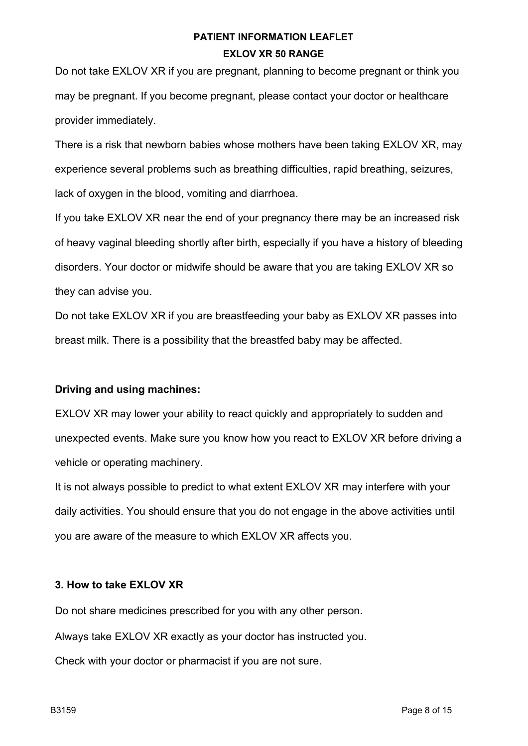Do not take EXLOV XR if you are pregnant, planning to become pregnant or think you may be pregnant. If you become pregnant, please contact your doctor or healthcare provider immediately.

There is a risk that newborn babies whose mothers have been taking EXLOV XR, may experience several problems such as breathing difficulties, rapid breathing, seizures, lack of oxygen in the blood, vomiting and diarrhoea.

If you take EXLOV XR near the end of your pregnancy there may be an increased risk of heavy vaginal bleeding shortly after birth, especially if you have a history of bleeding disorders. Your doctor or midwife should be aware that you are taking EXLOV XR so they can advise you.

Do not take EXLOV XR if you are breastfeeding your baby as EXLOV XR passes into breast milk. There is a possibility that the breastfed baby may be affected.

### **Driving and using machines:**

EXLOV XR may lower your ability to react quickly and appropriately to sudden and unexpected events. Make sure you know how you react to EXLOV XR before driving a vehicle or operating machinery.

It is not always possible to predict to what extent EXLOV XR may interfere with your daily activities. You should ensure that you do not engage in the above activities until you are aware of the measure to which EXLOV XR affects you.

### **3. How to take EXLOV XR**

Do not share medicines prescribed for you with any other person.

Always take EXLOV XR exactly as your doctor has instructed you.

Check with your doctor or pharmacist if you are not sure.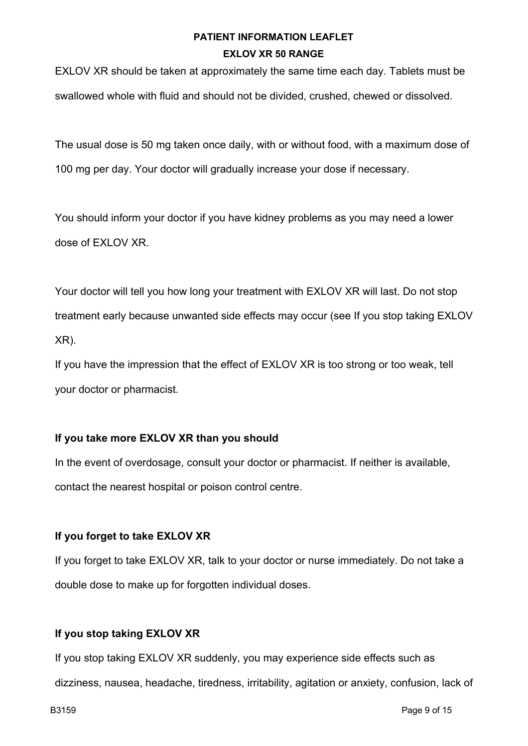EXLOV XR should be taken at approximately the same time each day. Tablets must be swallowed whole with fluid and should not be divided, crushed, chewed or dissolved.

The usual dose is 50 mg taken once daily, with or without food, with a maximum dose of 100 mg per day. Your doctor will gradually increase your dose if necessary.

You should inform your doctor if you have kidney problems as you may need a lower dose of EXLOV XR.

Your doctor will tell you how long your treatment with EXLOV XR will last. Do not stop treatment early because unwanted side effects may occur (see If you stop taking EXLOV XR).

If you have the impression that the effect of EXLOV XR is too strong or too weak, tell your doctor or pharmacist.

### **If you take more EXLOV XR than you should**

In the event of overdosage, consult your doctor or pharmacist. If neither is available, contact the nearest hospital or poison control centre.

### **If you forget to take EXLOV XR**

If you forget to take EXLOV XR, talk to your doctor or nurse immediately. Do not take a double dose to make up for forgotten individual doses.

### **If you stop taking EXLOV XR**

If you stop taking EXLOV XR suddenly, you may experience side effects such as dizziness, nausea, headache, tiredness, irritability, agitation or anxiety, confusion, lack of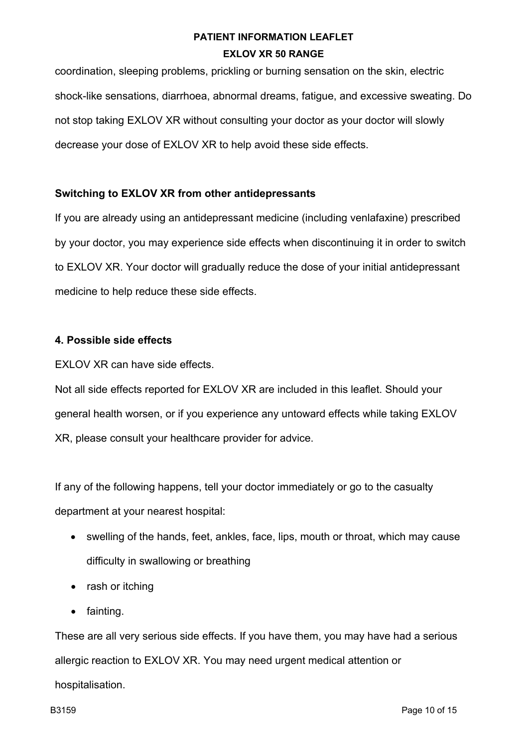coordination, sleeping problems, prickling or burning sensation on the skin, electric shock-like sensations, diarrhoea, abnormal dreams, fatigue, and excessive sweating. Do not stop taking EXLOV XR without consulting your doctor as your doctor will slowly decrease your dose of EXLOV XR to help avoid these side effects.

#### **Switching to EXLOV XR from other antidepressants**

If you are already using an antidepressant medicine (including venlafaxine) prescribed by your doctor, you may experience side effects when discontinuing it in order to switch to EXLOV XR. Your doctor will gradually reduce the dose of your initial antidepressant medicine to help reduce these side effects.

#### **4. Possible side effects**

EXLOV XR can have side effects.

Not all side effects reported for EXLOV XR are included in this leaflet. Should your general health worsen, or if you experience any untoward effects while taking EXLOV XR, please consult your healthcare provider for advice.

If any of the following happens, tell your doctor immediately or go to the casualty department at your nearest hospital:

- swelling of the hands, feet, ankles, face, lips, mouth or throat, which may cause difficulty in swallowing or breathing
- rash or itching
- fainting.

These are all very serious side effects. If you have them, you may have had a serious allergic reaction to EXLOV XR. You may need urgent medical attention or hospitalisation.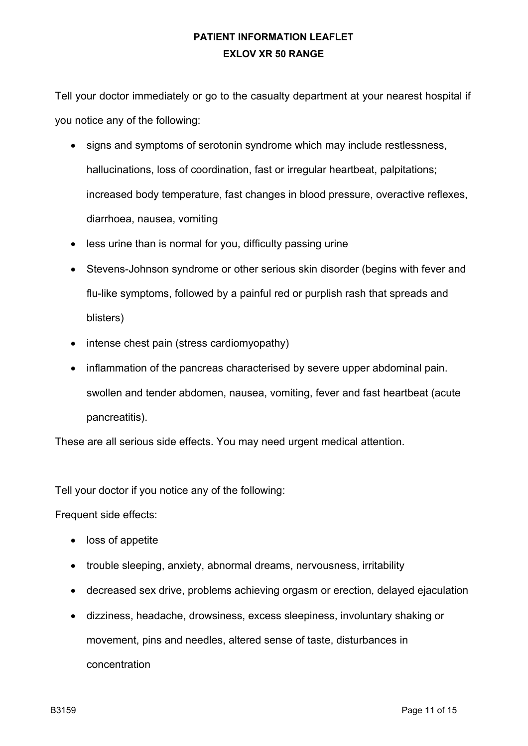Tell your doctor immediately or go to the casualty department at your nearest hospital if you notice any of the following:

- signs and symptoms of serotonin syndrome which may include restlessness, hallucinations, loss of coordination, fast or irregular heartbeat, palpitations; increased body temperature, fast changes in blood pressure, overactive reflexes, diarrhoea, nausea, vomiting
- less urine than is normal for you, difficulty passing urine
- Stevens-Johnson syndrome or other serious skin disorder (begins with fever and flu-like symptoms, followed by a painful red or purplish rash that spreads and blisters)
- intense chest pain (stress cardiomyopathy)
- inflammation of the pancreas characterised by severe upper abdominal pain. swollen and tender abdomen, nausea, vomiting, fever and fast heartbeat (acute pancreatitis).

These are all serious side effects. You may need urgent medical attention.

Tell your doctor if you notice any of the following:

Frequent side effects:

- loss of appetite
- trouble sleeping, anxiety, abnormal dreams, nervousness, irritability
- decreased sex drive, problems achieving orgasm or erection, delayed ejaculation
- dizziness, headache, drowsiness, excess sleepiness, involuntary shaking or movement, pins and needles, altered sense of taste, disturbances in concentration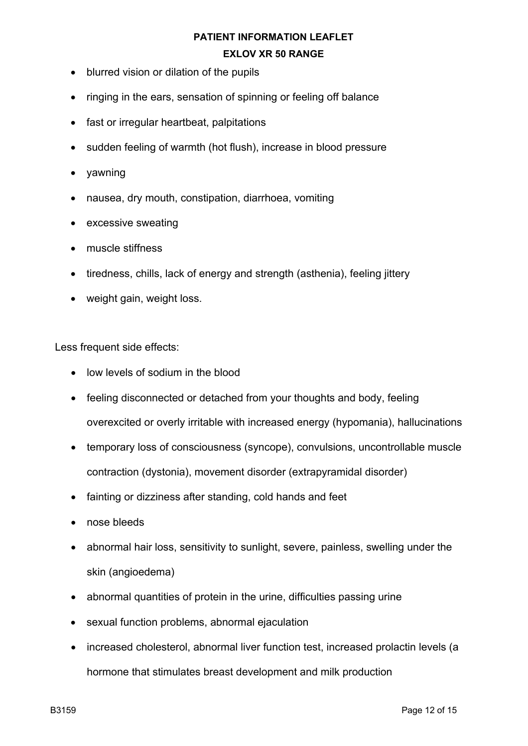- blurred vision or dilation of the pupils
- ringing in the ears, sensation of spinning or feeling off balance
- fast or irregular heartbeat, palpitations
- sudden feeling of warmth (hot flush), increase in blood pressure
- yawning
- nausea, dry mouth, constipation, diarrhoea, vomiting
- excessive sweating
- muscle stiffness
- tiredness, chills, lack of energy and strength (asthenia), feeling jittery
- weight gain, weight loss.

Less frequent side effects:

- low levels of sodium in the blood
- feeling disconnected or detached from your thoughts and body, feeling overexcited or overly irritable with increased energy (hypomania), hallucinations
- temporary loss of consciousness (syncope), convulsions, uncontrollable muscle contraction (dystonia), movement disorder (extrapyramidal disorder)
- fainting or dizziness after standing, cold hands and feet
- nose bleeds
- abnormal hair loss, sensitivity to sunlight, severe, painless, swelling under the skin (angioedema)
- abnormal quantities of protein in the urine, difficulties passing urine
- sexual function problems, abnormal ejaculation
- increased cholesterol, abnormal liver function test, increased prolactin levels (a hormone that stimulates breast development and milk production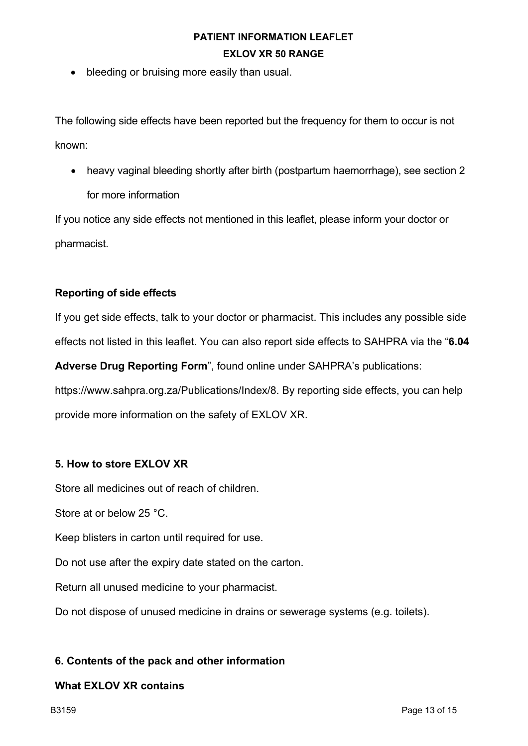• bleeding or bruising more easily than usual.

The following side effects have been reported but the frequency for them to occur is not known:

• heavy vaginal bleeding shortly after birth (postpartum haemorrhage), see section 2 for more information

If you notice any side effects not mentioned in this leaflet, please inform your doctor or pharmacist.

#### **Reporting of side effects**

If you get side effects, talk to your doctor or pharmacist. This includes any possible side effects not listed in this leaflet. You can also report side effects to SAHPRA via the "**6.04** 

**Adverse Drug Reporting Form**", found online under SAHPRA's publications: https://www.sahpra.org.za/Publications/Index/8. By reporting side effects, you can help provide more information on the safety of EXLOV XR.

### **5. How to store EXLOV XR**

Store all medicines out of reach of children.

Store at or below 25 °C.

Keep blisters in carton until required for use.

Do not use after the expiry date stated on the carton.

Return all unused medicine to your pharmacist.

Do not dispose of unused medicine in drains or sewerage systems (e.g. toilets).

### **6. Contents of the pack and other information**

#### **What EXLOV XR contains**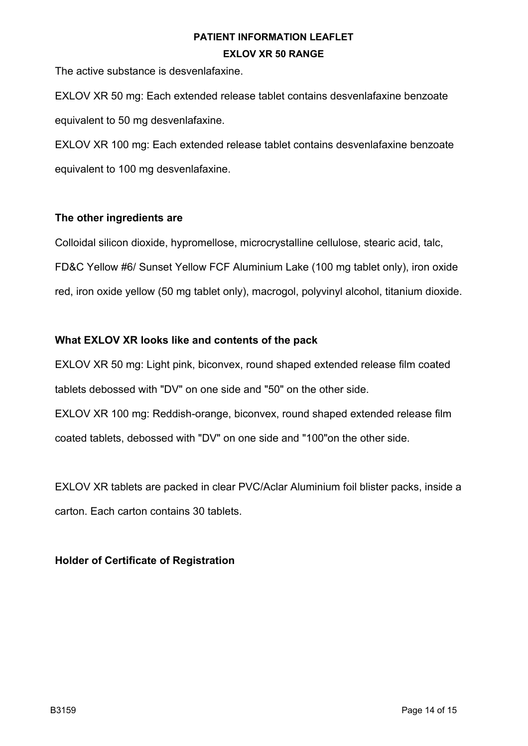The active substance is desvenlafaxine.

EXLOV XR 50 mg: Each extended release tablet contains desvenlafaxine benzoate equivalent to 50 mg desvenlafaxine.

EXLOV XR 100 mg: Each extended release tablet contains desvenlafaxine benzoate equivalent to 100 mg desvenlafaxine.

#### **The other ingredients are**

Colloidal silicon dioxide, hypromellose, microcrystalline cellulose, stearic acid, talc, FD&C Yellow #6/ Sunset Yellow FCF Aluminium Lake (100 mg tablet only), iron oxide red, iron oxide yellow (50 mg tablet only), macrogol, polyvinyl alcohol, titanium dioxide.

### **What EXLOV XR looks like and contents of the pack**

EXLOV XR 50 mg: Light pink, biconvex, round shaped extended release film coated tablets debossed with "DV" on one side and "50" on the other side. EXLOV XR 100 mg: Reddish-orange, biconvex, round shaped extended release film coated tablets, debossed with "DV" on one side and "100"on the other side.

EXLOV XR tablets are packed in clear PVC/Aclar Aluminium foil blister packs, inside a carton. Each carton contains 30 tablets.

### **Holder of Certificate of Registration**